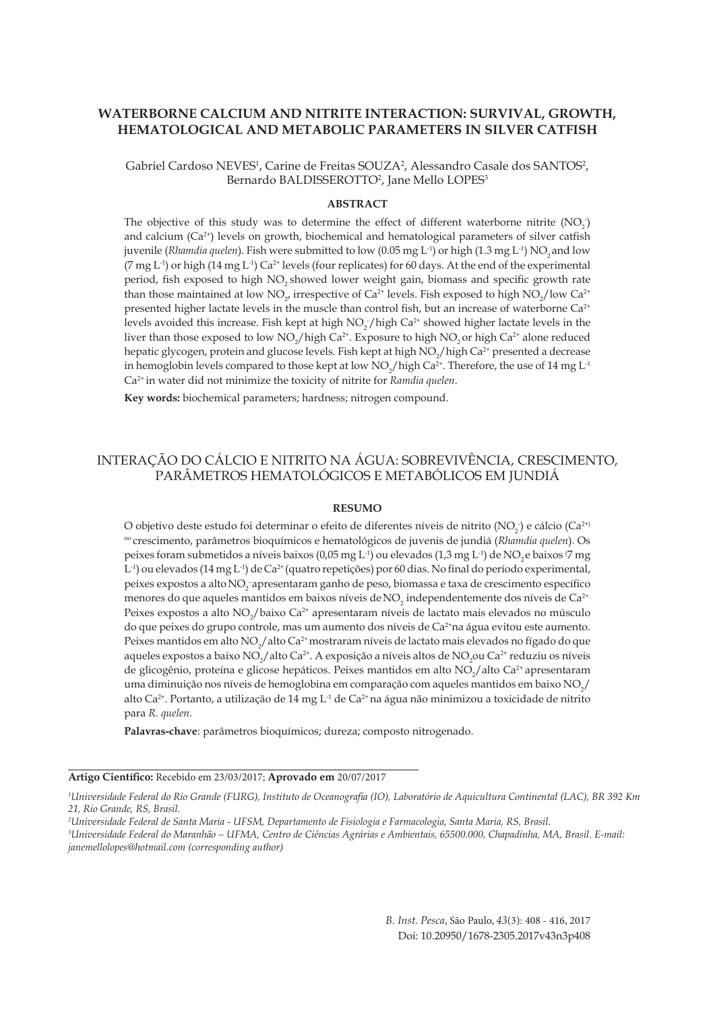# **WATERBORNE CALCIUM AND NITRITE INTERACTION: SURVIVAL, GROWTH, HEMATOLOGICAL AND METABOLIC PARAMETERS IN SILVER CATFISH**

Gabriel Cardoso  $NEVES<sup>1</sup>$ , Carine de Freitas SOUZA<sup>2</sup>, Alessandro Casale dos SANTOS<sup>2</sup>, Bernardo BALDISSEROTTO<sup>2</sup>, Jane Mello LOPES<sup>3</sup>

#### **ABSTRACT**

The objective of this study was to determine the effect of different waterborne nitrite  $(NO<sub>2</sub>)$ and calcium  $(Ca^{2+})$  levels on growth, biochemical and hematological parameters of silver catfish juvenile (*Rhamdia quelen*). Fish were submitted to low (0.05 mg L<sup>-1</sup>) or high (1.3 mg L<sup>-1</sup>) NO<sub>2</sub> and low (7 mg L<sup>-1</sup>) or high (14 mg L<sup>-1</sup>) Ca<sup>2+</sup> levels (four replicates) for 60 days. At the end of the experimental period, fish exposed to high NO<sub>3</sub> showed lower weight gain, biomass and specific growth rate than those maintained at low  $NO_{2'}$  irrespective of Ca<sup>2+</sup> levels. Fish exposed to high  $NO_{2}/$  low Ca<sup>2+</sup> presented higher lactate levels in the muscle than control fish, but an increase of waterborne Ca<sup>2+</sup> levels avoided this increase. Fish kept at high  $NO<sub>2</sub>$  / high Ca<sup>2+</sup> showed higher lactate levels in the liver than those exposed to low  $NO_2/high Ca^{2+}$ . Exposure to high  $NO_2$  or high  $Ca^{2+}$  alone reduced hepatic glycogen, protein and glucose levels. Fish kept at high  $NO_2/$  high  $Ca^{2+}$  presented a decrease in hemoglobin levels compared to those kept at low NO<sub>2</sub>/high Ca<sup>2+</sup>. Therefore, the use of 14 mg L<sup>-1</sup> Ca2+ in water did not minimize the toxicity of nitrite for *Ramdia quelen*.

**Key words:** biochemical parameters; hardness; nitrogen compound.

# INTERAÇÃO DO CÁLCIO E NITRITO NA ÁGUA: SOBREVIVÊNCIA, CRESCIMENTO, PARÂMETROS HEMATOLÓGICOS E METABÓLICOS EM JUNDIÁ

#### **RESUMO**

O objetivo deste estudo foi determinar o efeito de diferentes níveis de nitrito (NO<sub>2</sub>) e cálcio (Ca<sup>2+)</sup> no crescimento, parâmetros bioquímicos e hematológicos de juvenis de jundiá (*Rhamdia quelen*). Os peixes foram submetidos a níveis baixos (0,05 mg L<sup>-1</sup>) ou elevados (1,3 mg L<sup>-1</sup>) de NO<sub>2</sub> e baixos <sup>(7</sup> mg  $L^{-1}$ ) ou elevados (14 mg  $L^{-1}$ ) de Ca<sup>2+</sup> (quatro repetições) por 60 dias. No final do período experimental, peixes expostos a alto NO<sub>2</sub> apresentaram ganho de peso, biomassa e taxa de crescimento específico menores do que aqueles mantidos em baixos níveis de NO<sub>2</sub> independentemente dos níveis de Ca<sup>2+.</sup> Peixes expostos a alto NO<sub>2</sub>/baixo Ca<sup>2+</sup> apresentaram níveis de lactato mais elevados no músculo do que peixes do grupo controle, mas um aumento dos níveis de Ca2+na água evitou este aumento. Peixes mantidos em alto NO<sub>2</sub>/alto Ca<sup>2+</sup> mostraram níveis de lactato mais elevados no fígado do que aqueles expostos a baixo NO<sub>2</sub>/alto Ca<sup>2+</sup>. A exposição a níveis altos de NO<sub>2</sub>ou Ca<sup>2+</sup> reduziu os níveis de glicogênio, proteína e glicose hepáticos. Peixes mantidos em alto  $NO_2/$ alto  $Ca^{2+}$ apresentaram uma diminuição nos níveis de hemoglobina em comparação com aqueles mantidos em baixo  $\rm NO_2/$ alto Ca<sup>2+</sup>. Portanto, a utilização de 14 mg L<sup>-1</sup> de Ca<sup>2+</sup> na água não minimizou a toxicidade de nitrito para *R. quelen*.

**Palavras-chave**: parâmetros bioquímicos; dureza; composto nitrogenado.

**Artigo Científico:** Recebido em 23/03/2017; **Aprovado em** 20/07/2017

*B. Inst. Pesca*, São Paulo, *43*(3): 408 - 416, 2017 Doi: 10.20950/1678-2305.2017v43n3p408

*<sup>1</sup> Universidade Federal do Rio Grande (FURG), Instituto de Oceanografia (IO), Laboratório de Aquicultura Continental (LAC), BR 392 Km 21, Rio Grande, RS, Brasil.* 

*<sup>2</sup> Universidade Federal de Santa Maria - UFSM, Departamento de Fisiologia e Farmacologia, Santa Maria, RS, Brasil.* 

*<sup>3</sup> Universidade Federal do Maranhão* − *UFMA, Centro de Ciências Agrárias e Ambientais, 65500.000, Chapadinha, MA, Brasil. E-mail: janemellolopes@hotmail.com (corresponding author)*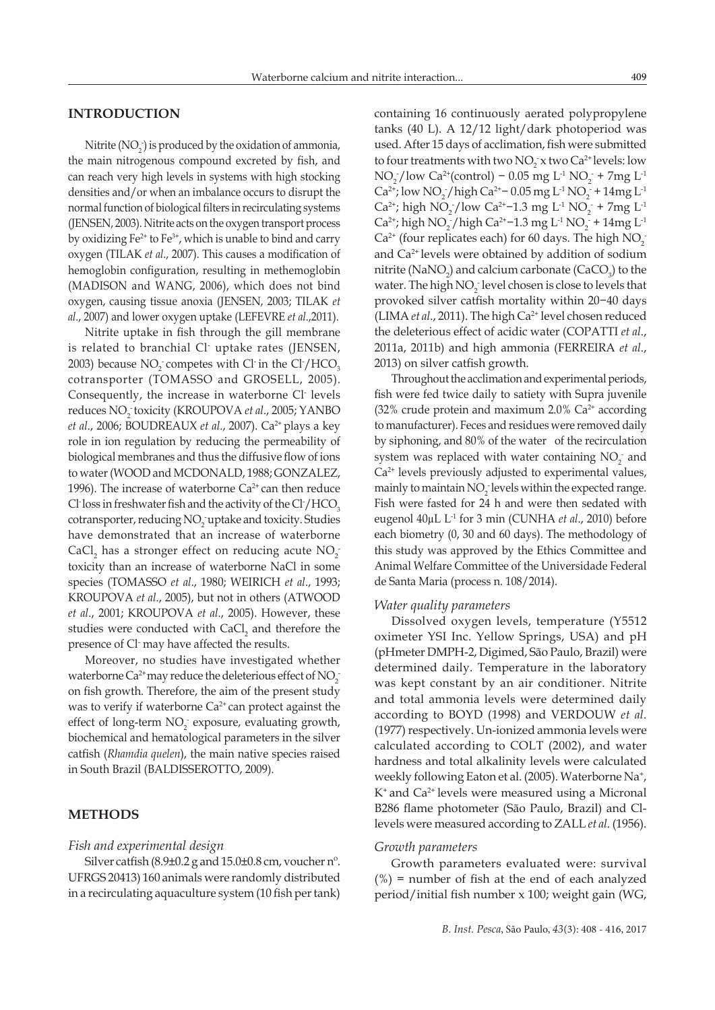### **INTRODUCTION**

Nitrite  $(NO<sub>2</sub>)$  is produced by the oxidation of ammonia, the main nitrogenous compound excreted by fish, and can reach very high levels in systems with high stocking densities and/or when an imbalance occurs to disrupt the normal function of biological filters in recirculating systems (JENSEN, 2003). Nitrite acts on the oxygen transport process by oxidizing  $Fe^{2+}$  to  $Fe^{3+}$ , which is unable to bind and carry oxygen (TILAK *et al*., 2007). This causes a modification of hemoglobin configuration, resulting in methemoglobin (MADISON and WANG, 2006), which does not bind oxygen, causing tissue anoxia (JENSEN, 2003; TILAK *et al*., 2007) and lower oxygen uptake (LEFEVRE *et al*.,2011).

Nitrite uptake in fish through the gill membrane is related to branchial Cl- uptake rates (JENSEN, 2003) because  $NO_2$  competes with Cl in the Cl /HCO<sub>3</sub> cotransporter (TOMASSO and GROSELL, 2005). Consequently, the increase in waterborne Cl- levels reduces NO2 - toxicity (KROUPOVA *et al*., 2005; YANBO *et al., 2006; BOUDREAUX et al., 2007*). Ca<sup>2+</sup> plays a key role in ion regulation by reducing the permeability of biological membranes and thus the diffusive flow of ions to water (WOOD and MCDONALD, 1988; GONZALEZ, 1996). The increase of waterborne  $Ca<sup>2+</sup>$  can then reduce Cl<sup>-</sup>loss in freshwater fish and the activity of the Cl<sup>-</sup>/HCO<sub>3</sub> cotransporter, reducing NO<sub>2</sub> uptake and toxicity. Studies have demonstrated that an increase of waterborne CaCl<sub>2</sub> has a stronger effect on reducing acute  $NO_2^$ toxicity than an increase of waterborne NaCl in some species (TOMASSO *et al*., 1980; WEIRICH *et al*., 1993; KROUPOVA *et al*., 2005), but not in others (ATWOOD *et al*., 2001; KROUPOVA *et al*., 2005). However, these studies were conducted with  $\text{CaCl}_{2}$  and therefore the presence of Cl- may have affected the results.

Moreover, no studies have investigated whether waterborne Ca<sup>2+</sup> may reduce the deleterious effect of  $NO_2^$ on fish growth. Therefore, the aim of the present study was to verify if waterborne  $Ca<sup>2+</sup>$  can protect against the effect of long-term  $NO_2^-$  exposure, evaluating growth, biochemical and hematological parameters in the silver catfish (*Rhamdia quelen*), the main native species raised in South Brazil (BALDISSEROTTO, 2009).

### **METHODS**

#### *Fish and experimental design*

Silver catfish  $(8.9\pm0.2 \text{ g}$  and  $15.0\pm0.8 \text{ cm}$ , voucher n<sup>o</sup>. UFRGS 20413) 160 animals were randomly distributed in a recirculating aquaculture system (10 fish per tank) containing 16 continuously aerated polypropylene tanks (40 L). A 12/12 light/dark photoperiod was used. After 15 days of acclimation, fish were submitted to four treatments with two  $NO_2^-$ x two  $Ca^{2+}$  levels: low  $NO_2^-/low Ca^{2+} (control) = 0.05 mg L^1 NO_2^- + 7mg L^1$  $Ca^{2+}$ ; low NO<sub>2</sub> / high Ca<sup>2+</sup> – 0.05 mg L<sup>-1</sup> NO<sub>2</sub> + 14mg L<sup>-1</sup>  $Ca^{2+}$ ; high NO<sub>2</sub> / low Ca<sup>2+</sup>-1.3 mg L<sup>-1</sup> NO<sub>2</sub> + 7mg L<sup>-1</sup>  $Ca^{2+}$ ; high NO<sub>2</sub> / high Ca<sup>2+</sup>-1.3 mg L<sup>-1</sup> NO<sub>2</sub> + 14mg L<sup>-1</sup>  $Ca<sup>2+</sup>$  (four replicates each) for 60 days. The high  $NO<sub>2</sub>$ and Ca2+ levels were obtained by addition of sodium nitrite ( $\text{NaNO}_2$ ) and calcium carbonate (CaCO<sub>3</sub>) to the water. The high  $NO<sub>2</sub>$  level chosen is close to levels that provoked silver catfish mortality within 20−40 days (LIMA *et al.*, 2011). The high Ca<sup>2+</sup> level chosen reduced the deleterious effect of acidic water (COPATTI *et al*., 2011a, 2011b) and high ammonia (FERREIRA *et al*., 2013) on silver catfish growth.

Throughout the acclimation and experimental periods, fish were fed twice daily to satiety with Supra juvenile (32% crude protein and maximum 2.0%  $Ca<sup>2+</sup>$  according to manufacturer). Feces and residues were removed daily by siphoning, and 80% of the water of the recirculation system was replaced with water containing  $NO<sub>2</sub>$  and  $Ca<sup>2+</sup>$  levels previously adjusted to experimental values, mainly to maintain  $NO<sub>2</sub>$  levels within the expected range. Fish were fasted for 24 h and were then sedated with eugenol 40µL L-1 for 3 min (CUNHA *et al*., 2010) before each biometry (0, 30 and 60 days). The methodology of this study was approved by the Ethics Committee and Animal Welfare Committee of the Universidade Federal de Santa Maria (process n. 108/2014).

### *Water quality parameters*

Dissolved oxygen levels, temperature (Y5512 oximeter YSI Inc. Yellow Springs, USA) and pH (pHmeter DMPH-2, Digimed, São Paulo, Brazil) were determined daily. Temperature in the laboratory was kept constant by an air conditioner. Nitrite and total ammonia levels were determined daily according to BOYD (1998) and VERDOUW *et al*. (1977) respectively. Un-ionized ammonia levels were calculated according to COLT (2002), and water hardness and total alkalinity levels were calculated weekly following Eaton et al. (2005). Waterborne Na<sup>+</sup>, K+ and Ca2+ levels were measured using a Micronal B286 flame photometer (São Paulo, Brazil) and Cllevels were measured according to ZALL *et al*. (1956).

#### *Growth parameters*

Growth parameters evaluated were: survival  $(\%)$  = number of fish at the end of each analyzed period/initial fish number x 100; weight gain (WG,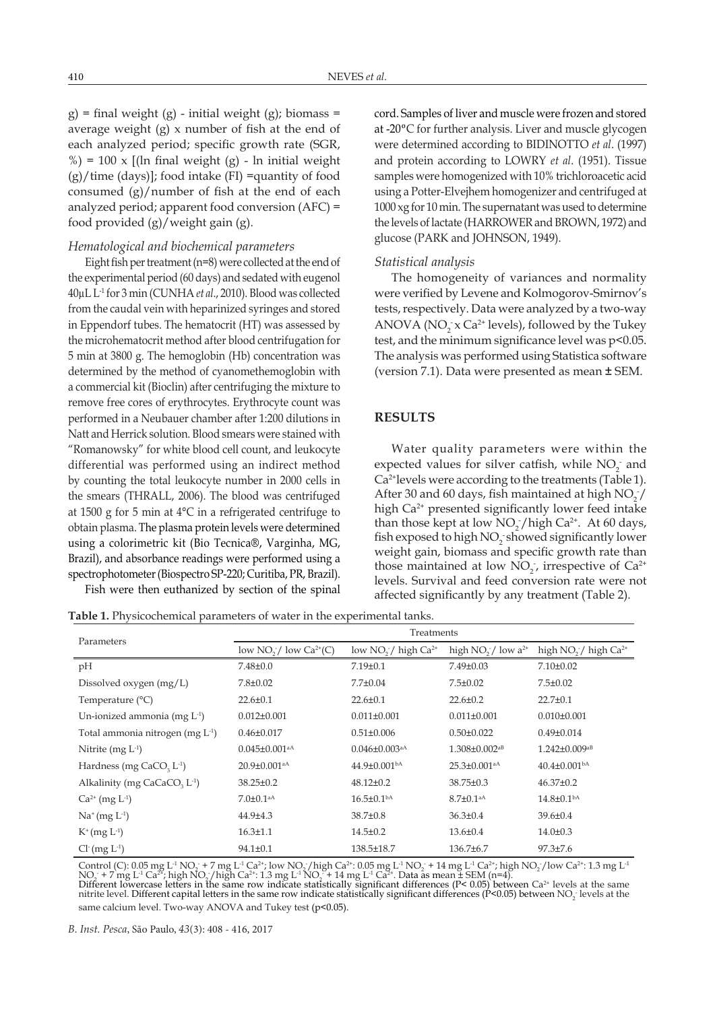$g$ ) = final weight (g) - initial weight (g); biomass = average weight (g) x number of fish at the end of each analyzed period; specific growth rate (SGR,  $\%$ ) = 100 x [(ln final weight (g) - ln initial weight  $(g)/time$  (days)]; food intake (FI) =quantity of food consumed (g)/number of fish at the end of each analyzed period; apparent food conversion (AFC) = food provided (g)/weight gain (g).

### *Hematological and biochemical parameters*

Eight fish per treatment  $(n=8)$  were collected at the end of the experimental period (60 days) and sedated with eugenol 40µL L-1 for 3 min (CUNHA *et al*., 2010). Blood was collected from the caudal vein with heparinized syringes and stored in Eppendorf tubes. The hematocrit (HT) was assessed by the microhematocrit method after blood centrifugation for 5 min at 3800 g. The hemoglobin (Hb) concentration was determined by the method of cyanomethemoglobin with a commercial kit (Bioclin) after centrifuging the mixture to remove free cores of erythrocytes. Erythrocyte count was performed in a Neubauer chamber after 1:200 dilutions in Natt and Herrick solution. Blood smears were stained with "Romanowsky" for white blood cell count, and leukocyte differential was performed using an indirect method by counting the total leukocyte number in 2000 cells in the smears (THRALL, 2006). The blood was centrifuged at 1500 g for 5 min at 4°C in a refrigerated centrifuge to obtain plasma. The plasma protein levels were determined using a colorimetric kit (Bio Tecnica®, Varginha, MG, Brazil), and absorbance readings were performed using a spectrophotometer (Biospectro SP-220; Curitiba, PR, Brazil).

Fish were then euthanized by section of the spinal

**Table 1.** Physicochemical parameters of water in the experimental tanks.

cord. Samples of liver and muscle were frozen and stored at -20**º**C for further analysis. Liver and muscle glycogen were determined according to BIDINOTTO *et al*. (1997) and protein according to LOWRY *et al*. (1951). Tissue samples were homogenized with 10% trichloroacetic acid using a Potter-Elvejhem homogenizer and centrifuged at 1000 xg for 10 min. The supernatant was used to determine the levels of lactate (HARROWER and BROWN, 1972) and glucose (PARK and JOHNSON, 1949).

#### *Statistical analysis*

The homogeneity of variances and normality were verified by Levene and Kolmogorov-Smirnov's tests, respectively. Data were analyzed by a two-way ANOVA ( $NO_2^-$  x  $Ca^{2+}$  levels), followed by the Tukey test, and the minimum significance level was p<0.05. The analysis was performed using Statistica software (version 7.1). Data were presented as mean **±** SEM.

### **RESULTS**

Water quality parameters were within the expected values for silver catfish, while  $NO<sub>2</sub>$  and Ca2+levels were according to the treatments (Table 1). After 30 and 60 days, fish maintained at high  $NO_2^2/$ high Ca<sup>2+</sup> presented significantly lower feed intake than those kept at low  $NO_2^-/$  high  $Ca^{2+}$ . At 60 days, fish exposed to high  $NO_2$  showed significantly lower weight gain, biomass and specific growth rate than those maintained at low  $NO_2$ , irrespective of  $Ca^{2+}$ levels. Survival and feed conversion rate were not affected significantly by any treatment (Table 2).

| Parameters                                           | Treatments                      |                                 |                                 |                                              |
|------------------------------------------------------|---------------------------------|---------------------------------|---------------------------------|----------------------------------------------|
|                                                      | low $NO_2^-/$ low $Ca^{2+}(C)$  | low $NO2$ high $Ca2+$           | high $NO_2^-/$ low $a^{2+}$     | high NO <sub>2</sub> / high Ca <sup>2+</sup> |
| pH                                                   | $7.48 \pm 0.0$                  | $7.19 \pm 0.1$                  | $7.49 \pm 0.03$                 | $7.10 \pm 0.02$                              |
| Dissolved oxygen $(mg/L)$                            | $7.8 \pm 0.02$                  | $7.7 \pm 0.04$                  | $7.5 \pm 0.02$                  | $7.5 \pm 0.02$                               |
| Temperature $(^{\circ}C)$                            | $22.6 \pm 0.1$                  | $22.6 \pm 0.1$                  | $22.6 \pm 0.2$                  | $22.7 \pm 0.1$                               |
| Un-ionized ammonia (mg $L^1$ )                       | $0.012 \pm 0.001$               | $0.011 \pm 0.001$               | $0.011 \pm 0.001$               | $0.010 \pm 0.001$                            |
| Total ammonia nitrogen (mg L <sup>-1</sup> )         | $0.46 \pm 0.017$                | $0.51 \pm 0.006$                | $0.50 \pm 0.022$                | $0.49 \pm 0.014$                             |
| Nitrite $(mg L-1)$                                   | $0.045 \pm 0.001$ <sup>aA</sup> | $0.046 \pm 0.003$ <sup>aA</sup> | $1.308 \pm 0.002$ <sup>aB</sup> | $1.242 \pm 0.009$ <sup>aB</sup>              |
| Hardness (mg CaCO <sub>3</sub> L <sup>-1</sup> )     | 20.9±0.001 <sup>aA</sup>        | $44.9 \pm 0.001$ <sup>bA</sup>  | $25.3 \pm 0.001$ <sup>aA</sup>  | $40.4\pm0.001bA$                             |
| Alkalinity (mg CaCaCO <sub>3</sub> L <sup>-1</sup> ) | $38.25 \pm 0.2$                 | $48.12 \pm 0.2$                 | $38.75 \pm 0.3$                 | $46.37 \pm 0.2$                              |
| $Ca^{2+}$ (mg $L^{-1}$ )                             | $7.0 \pm 0.1$ <sup>aA</sup>     | $16.5 \pm 0.1bA$                | $8.7 \pm 0.1$ <sup>aA</sup>     | $14.8 \pm 0.1bA$                             |
| $Na^{+}(mg L^{-1})$                                  | 44.9±4.3                        | $38.7 \pm 0.8$                  | $36.3 \pm 0.4$                  | $39.6 \pm 0.4$                               |
| $K^{+}(mg L^{-1})$                                   | $16.3 \pm 1.1$                  | $14.5 \pm 0.2$                  | $13.6 \pm 0.4$                  | $14.0 \pm 0.3$                               |
| $Cl^{(mg L^{-1})}$                                   | $94.1 \pm 0.1$                  | 138.5±18.7                      | $136.7\pm 6.7$                  | $97.3 \pm 7.6$                               |

Control (C): 0.05 mg L<sup>-1</sup> NO<sub>2</sub> + 7 mg L<sup>-1</sup> Ca<sup>2+</sup>; low NO<sub>2</sub> / high Ca<sup>2+</sup>: 0.05 mg L<sup>-1</sup> NO<sub>2</sub> + 14 mg L<sup>-1</sup> Ca<sup>2+</sup>; high NO<sub>2</sub> / low Ca<sup>2+</sup>: 1.3 mg L<sup>-1</sup> NO<sub>2</sub> + 7 mg L<sup>-1</sup> Ca<sup>2+</sup>; high NO<sub>2</sub> / high Ca<sup>2+</sup>: 1.3 mg L<sup>-1</sup> NO<sub>2</sub> + 14 mg L<sup>-1</sup> Ca<sup>2+</sup>. Data as mean ± SEM (n=4). Different lowercase letters in the same row indicate statistically significant differences ( $P< 0.05$ ) between  $Ca<sup>2+</sup>$  levels at the same nitrite level. Different capital letters in the same row indicate statistically significant differences (P<0.05) between NO<sub>2</sub> levels at the

same calcium level. Two-way ANOVA and Tukey test (p<0.05).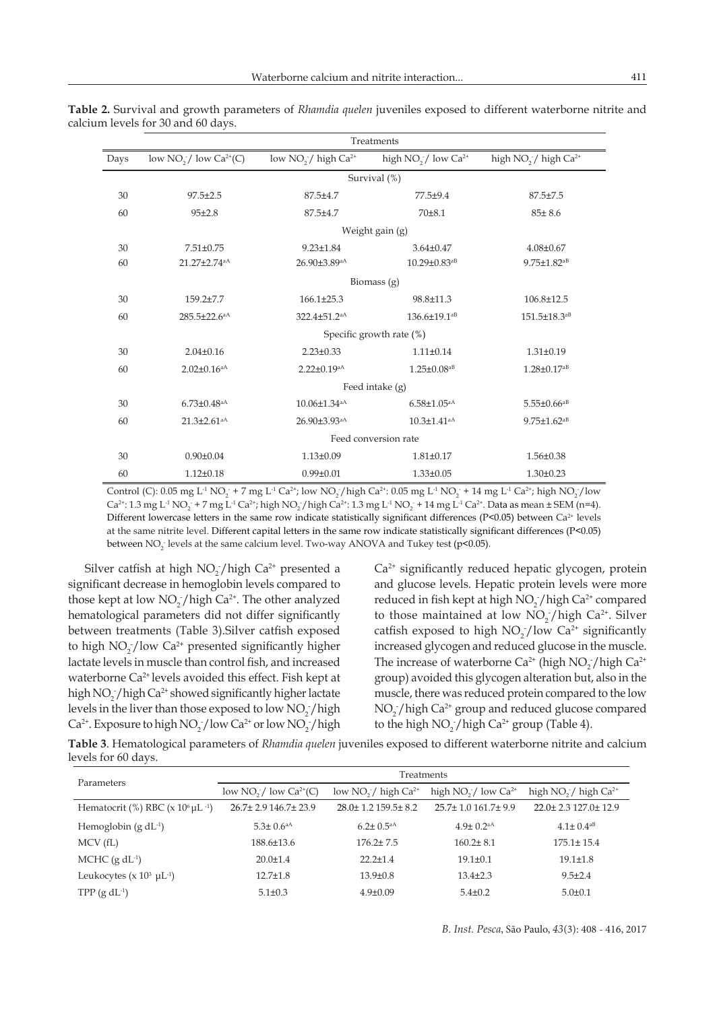| Treatments           |                                |                                |                                |                                              |  |  |
|----------------------|--------------------------------|--------------------------------|--------------------------------|----------------------------------------------|--|--|
| Days                 | low $NO_2^-/$ low $Ca^{2+}(C)$ | low $NO_2^-/$ high $Ca^{2+}$   | high $NO_2^-/$ low $Ca^{2+}$   | high NO <sub>2</sub> / high Ca <sup>2+</sup> |  |  |
|                      |                                |                                | Survival (%)                   |                                              |  |  |
| 30                   | $97.5 \pm 2.5$                 | $87.5 \pm 4.7$                 | 77.5±9.4                       | $87.5 \pm 7.5$                               |  |  |
| 60                   | $95 + 2.8$                     | 87.5±4.7                       | $70 + 8.1$                     | $85 \pm 8.6$                                 |  |  |
|                      |                                |                                | Weight gain (g)                |                                              |  |  |
| 30                   | $7.51 \pm 0.75$                | $9.23 \pm 1.84$                | $3.64 \pm 0.47$                | $4.08 \pm 0.67$                              |  |  |
| 60                   | 21.27±2.74 <sup>aA</sup>       | 26.90±3.89 <sup>aA</sup>       | $10.29 \pm 0.83$ <sup>aB</sup> | $9.75 \pm 1.82$ <sup>aB</sup>                |  |  |
| Biomass $(g)$        |                                |                                |                                |                                              |  |  |
| 30                   | 159.2±7.7                      | $166.1 \pm 25.3$               | 98.8±11.3                      | 106.8±12.5                                   |  |  |
| 60                   | $285.5 \pm 22.6$ <sup>aA</sup> | 322.4±51.2 <sup>aA</sup>       | $136.6 \pm 19.1$ <sup>aB</sup> | 151.5±18.3 <sup>aB</sup>                     |  |  |
|                      | Specific growth rate (%)       |                                |                                |                                              |  |  |
| 30                   | $2.04 \pm 0.16$                | $2.23 \pm 0.33$                | $1.11 \pm 0.14$                | $1.31 \pm 0.19$                              |  |  |
| 60                   | $2.02 \pm 0.16$ <sup>aA</sup>  | $2.22 \pm 0.19$ <sup>aA</sup>  | $1.25 \pm 0.08$ <sup>aB</sup>  | $1.28 \pm 0.17$ <sup>aB</sup>                |  |  |
| Feed intake $(g)$    |                                |                                |                                |                                              |  |  |
| 30                   | $6.73 \pm 0.48$ <sup>aA</sup>  | $10.06 \pm 1.34$ <sup>aA</sup> | $6.58{\pm}1.05^{aA}$           | $5.55 \pm 0.66$ <sup>aB</sup>                |  |  |
| 60                   | $21.3 \pm 2.61$ <sup>aA</sup>  | 26.90±3.93 <sup>aA</sup>       | $10.3 \pm 1.41$ <sup>aA</sup>  | $9.75 \pm 1.62$ <sup>aB</sup>                |  |  |
| Feed conversion rate |                                |                                |                                |                                              |  |  |
| 30                   | $0.90 \pm 0.04$                | $1.13 \pm 0.09$                | $1.81 \pm 0.17$                | $1.56 \pm 0.38$                              |  |  |
| 60                   | $1.12 \pm 0.18$                | $0.99 \pm 0.01$                | $1.33 \pm 0.05$                | $1.30 \pm 0.23$                              |  |  |

**Table 2.** Survival and growth parameters of *Rhamdia quelen* juveniles exposed to different waterborne nitrite and calcium levels for 30 and 60 days.

Control (C): 0.05 mg L<sup>-1</sup> NO<sub>2</sub> + 7 mg L<sup>-1</sup> Ca<sup>2+</sup>; low NO<sub>2</sub>/high Ca<sup>2+</sup>: 0.05 mg L<sup>-1</sup> NO<sub>2</sub> + 14 mg L<sup>-1</sup> Ca<sup>2+</sup>; high NO<sub>2</sub>/low  $Ca^{2+}: 1.3 \text{ mg } L^1 \text{ No}_2 + 7 \text{ mg } L^1 \text{ Ca}^{2+};$  high  $\text{NO}_2$  / high  $Ca^{2+}: 1.3 \text{ mg } L^1 \text{ No}_2 + 14 \text{ mg } L^1 \text{ Ca}^{2+}.$  Data as mean  $\pm$  SEM (n=4). Different lowercase letters in the same row indicate statistically significant differences (P<0.05) between  $Ca^{2+}$  levels at the same nitrite level. Different capital letters in the same row indicate statistically significant differences (P<0.05) between  $\rm NO_2^-$  levels at the same calcium level. Two-way ANOVA and Tukey test (p<0.05).

Silver catfish at high  $NO_2/high Ca^{2+}$  presented a significant decrease in hemoglobin levels compared to those kept at low  $NO_2^-/$ high Ca<sup>2+</sup>. The other analyzed hematological parameters did not differ significantly between treatments (Table 3).Silver catfish exposed to high  $NO_2/low Ca^{2+}$  presented significantly higher lactate levels in muscle than control fish, and increased waterborne Ca<sup>2+</sup> levels avoided this effect. Fish kept at high  $NO_2^-/$ high Ca<sup>2+</sup> showed significantly higher lactate levels in the liver than those exposed to low  $NO_2^-/high$  $Ca<sup>2+</sup>$ . Exposure to high NO<sub>2</sub>/low Ca<sup>2+</sup> or low NO<sub>2</sub>/high Ca<sup>2+</sup> significantly reduced hepatic glycogen, protein and glucose levels. Hepatic protein levels were more reduced in fish kept at high  $NO<sub>2</sub>$ /high  $Ca<sup>2+</sup>$  compared to those maintained at low  $NO_2^-/high\ Ca^{2^+}$ . Silver catfish exposed to high  $NO_2^-/low$   $Ca^{2+}$  significantly increased glycogen and reduced glucose in the muscle. The increase of waterborne  $Ca^{2+}$  (high  $NO_2^-$ /high  $Ca^{2+}$ group) avoided this glycogen alteration but, also in the muscle, there was reduced protein compared to the low  $NO<sub>2</sub>$  / high  $Ca<sup>2+</sup>$  group and reduced glucose compared to the high  $NO_2^-/$  high  $Ca^{2+}$  group (Table 4).

**Table 3**. Hematological parameters of *Rhamdia quelen* juveniles exposed to different waterborne nitrite and calcium levels for 60 days.

| Parameters                                                       | Treatments                                            |                                |                              |                               |
|------------------------------------------------------------------|-------------------------------------------------------|--------------------------------|------------------------------|-------------------------------|
|                                                                  | low NO <sub>2</sub> $\prime$ low Ca <sup>2+</sup> (C) | low $NO2$ high $Ca2+$          | high $NO_2^-/$ low $Ca^{2+}$ | high $NO_2^-/$ high $Ca^{2+}$ |
| Hematocrit (%) RBC ( $\times$ 10 <sup>6</sup> µL <sup>-1</sup> ) | 26.7±2.9146.7±23.9                                    | $28.0 \pm 1.2$ 159.5 $\pm$ 8.2 | $25.7 \pm 1.0161.7 \pm 9.9$  | 22.0± 2.3 127.0± 12.9         |
| Hemoglobin $(g dL^{-1})$                                         | $5.3 \pm 0.6$ <sup>aA</sup>                           | $6.2 \pm 0.5^{\text{aA}}$      | $4.9 \pm 0.2$ <sup>aA</sup>  | $4.1 \pm 0.4^{aB}$            |
| MCV(fL)                                                          | 188.6±13.6                                            | $176.2 \pm 7.5$                | $160.2 \pm 8.1$              | $175.1 \pm 15.4$              |
| MCHC $(g dL^{-1})$                                               | $20.0 \pm 1.4$                                        | $22.2 \pm 1.4$                 | $19.1 \pm 0.1$               | $19.1 \pm 1.8$                |
| Leukocytes ( $\times$ 10 <sup>3</sup> µL <sup>-1</sup> )         | $12.7 \pm 1.8$                                        | $13.9 \pm 0.8$                 | $13.4 \pm 2.3$               | $9.5 \pm 2.4$                 |
| TPP $(g \, dL^{-1})$                                             | $5.1 \pm 0.3$                                         | $4.9 \pm 0.09$                 | $5.4 \pm 0.2$                | $5.0 \pm 0.1$                 |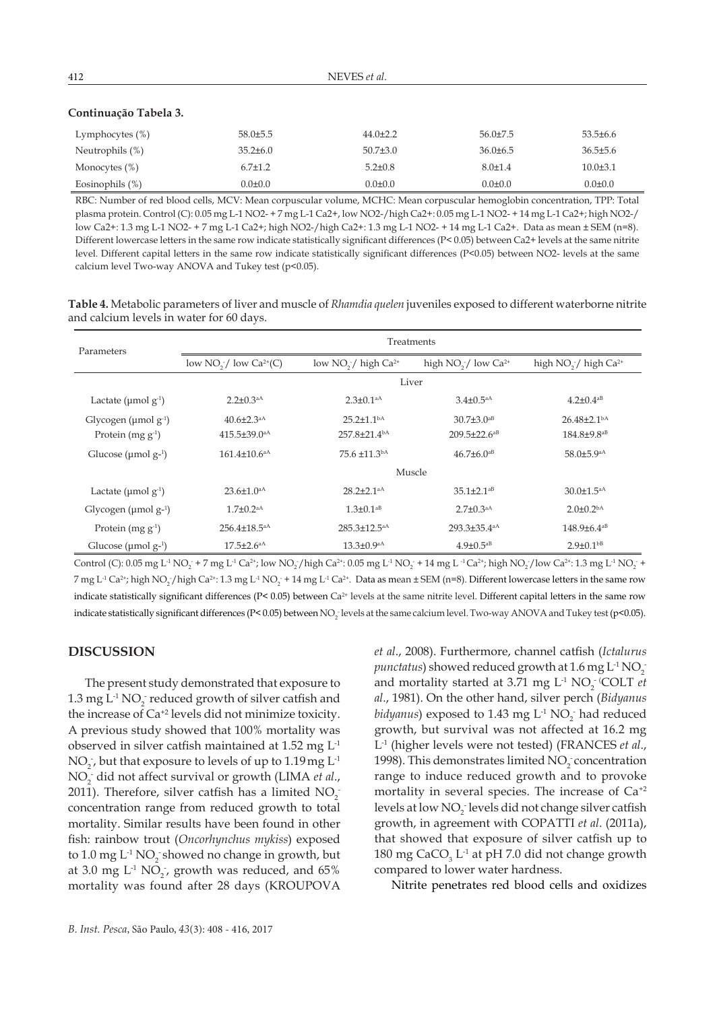|  | a. |
|--|----|
|--|----|

# **Continuação Tabela 3.**

| Lymphocytes (%)    | $58.0\pm5.5$   | $44.0 \pm 2.2$ | $56.0\pm7.5$  | $53.5\pm 6.6$  |
|--------------------|----------------|----------------|---------------|----------------|
| Neutrophils $(\%)$ | $35.2 \pm 6.0$ | $50.7{\pm}3.0$ | $36.0\pm 6.5$ | $36.5 \pm 5.6$ |
| Monocytes $(\%)$   | $6.7 \pm 1.2$  | $5.2 \pm 0.8$  | $8.0 \pm 1.4$ | $10.0 \pm 3.1$ |
| Eosinophils (%)    | $0.0 \pm 0.0$  | $0.0 \pm 0.0$  | $0.0 \pm 0.0$ | $0.0 \pm 0.0$  |

RBC: Number of red blood cells, MCV: Mean corpuscular volume, MCHC: Mean corpuscular hemoglobin concentration, TPP: Total plasma protein. Control (C): 0.05 mg L-1 NO2- + 7 mg L-1 Ca2+, low NO2-/high Ca2+: 0.05 mg L-1 NO2- + 14 mg L-1 Ca2+; high NO2-/ low Ca2+: 1.3 mg L-1 NO2- + 7 mg L-1 Ca2+; high NO2-/high Ca2+: 1.3 mg L-1 NO2- + 14 mg L-1 Ca2+. Data as mean ± SEM (n=8). Different lowercase letters in the same row indicate statistically significant differences (P< 0.05) between Ca2+ levels at the same nitrite level. Different capital letters in the same row indicate statistically significant differences (P<0.05) between NO2- levels at the same calcium level Two-way ANOVA and Tukey test (p<0.05).

**Table 4.** Metabolic parameters of liver and muscle of *Rhamdia quelen* juveniles exposed to different waterborne nitrite and calcium levels in water for 60 days.

| Parameters                             | Treatments                     |                                |                                |                                              |  |
|----------------------------------------|--------------------------------|--------------------------------|--------------------------------|----------------------------------------------|--|
|                                        | low $NO_2^-/$ low $Ca^{2+}(C)$ | low $NO2$ high $Ca2+$          | high $NO_2^-/$ low $Ca^{2+}$   | high NO <sub>2</sub> / high Ca <sup>2+</sup> |  |
|                                        | Liver                          |                                |                                |                                              |  |
| Lactate ( $\mu$ mol $g^{-1}$ )         | $2.2 \pm 0.3$ <sup>aA</sup>    | $2.3 \pm 0.1$ <sup>aA</sup>    | $3.4 \pm 0.5^{aA}$             | $4.2 \pm 0.4$ <sup>aB</sup>                  |  |
| Glycogen ( $\mu$ mol g <sup>-1</sup> ) | $40.6 \pm 2.3$ <sup>aA</sup>   | $25.2 \pm 1.1$ <sup>bA</sup>   | $30.7 \pm 3.0$ <sup>aB</sup>   | $26.48 \pm 2.1bA$                            |  |
| Protein $(mg g^{-1})$                  | $415.5 \pm 39.0$ <sup>aA</sup> | $257.8 \pm 21.4$ <sup>bA</sup> | $209.5 \pm 22.6$ <sup>aB</sup> | 184.8±9.8 <sup>aB</sup>                      |  |
| Glucose ( $\mu$ mol $g^{-1}$ )         | $161.4 \pm 10.6$ <sup>aA</sup> | 75.6 ±11.3bA                   | $46.7\pm6.0^{aB}$              | 58.0±5.9 <sup>aA</sup>                       |  |
|                                        | Muscle                         |                                |                                |                                              |  |
| Lactate ( $\mu$ mol $g^{-1}$ )         | $23.6 \pm 1.0$ <sup>aA</sup>   | $28.2 \pm 2.1$ <sup>aA</sup>   | $35.1 \pm 2.1$ <sup>aB</sup>   | $30.0 \pm 1.5$ <sup>aA</sup>                 |  |
| Glycogen ( $\mu$ mol g- <sup>1</sup> ) | $1.7 \pm 0.2$ <sup>aA</sup>    | $1.3 \pm 0.1$ <sup>aB</sup>    | $2.7 \pm 0.3$ <sup>aA</sup>    | $2.0\pm 0.2bA$                               |  |
| Protein $(mg g^{-1})$                  | $256.4 \pm 18.5$ <sup>aA</sup> | $285.3 \pm 12.5$ <sup>aA</sup> | $293.3\pm35.4$ <sup>aA</sup>   | $148.9 \pm 6.4^{aB}$                         |  |
| Glucose ( $\mu$ mol $g^{-1}$ )         | $17.5 \pm 2.6$ <sup>aA</sup>   | $13.3 \pm 0.9$ <sup>aA</sup>   | $4.9 \pm 0.5$ <sup>aB</sup>    | $2.9 \pm 0.1$ <sup>bB</sup>                  |  |

Control (C): 0.05 mg L<sup>1</sup> NO<sub>2</sub> + 7 mg L<sup>1</sup> Ca<sup>2+</sup>; low NO<sub>2</sub>/high Ca<sup>2+</sup>: 0.05 mg L<sup>1</sup> NO<sub>2</sub> + 14 mg L<sup>1</sup> Ca<sup>2+</sup>; high NO<sub>2</sub>/low Ca<sup>2+</sup>: 1.3 mg L<sup>1</sup> NO<sub>2</sub> + 7 mg L<sup>-1</sup> Ca<sup>2+</sup>; high NO<sub>2</sub><sup>-</sup>/high Ca<sup>2+</sup>: 1.3 mg L<sup>-1</sup> NO<sub>2</sub><sup>-</sup> + 14 mg L<sup>-1</sup> Ca<sup>2+</sup>. Data as mean ± SEM (n=8). Different lowercase letters in the same row indicate statistically significant differences (P< 0.05) between Ca<sup>2+</sup> levels at the same nitrite level. Different capital letters in the same row indicate statistically significant differences (P< 0.05) between NO<sub>2</sub> levels at the same calcium level. Two-way ANOVA and Tukey test (p<0.05).

### **DISCUSSION**

The present study demonstrated that exposure to 1.3 mg  $L^1$  NO<sub>2</sub> reduced growth of silver catfish and the increase of Ca+2 levels did not minimize toxicity. A previous study showed that 100% mortality was observed in silver catfish maintained at 1.52 mg L-1  $NO<sub>2</sub>$ , but that exposure to levels of up to 1.19 mg  $L<sup>-1</sup>$ NO<sub>2</sub> did not affect survival or growth (LIMA *et al.*, 2011). Therefore, silver catfish has a limited  $NO_2^$ concentration range from reduced growth to total mortality. Similar results have been found in other fish: rainbow trout (*Oncorhynchus mykiss*) exposed to  $1.0$  mg  $L^{1}$  NO<sub>2</sub> showed no change in growth, but at 3.0 mg  $L^1$  NO<sub>2</sub>, growth was reduced, and 65% mortality was found after 28 days (KROUPOVA

*et al*., 2008). Furthermore, channel catfish (*Ictalurus punctatus*) showed reduced growth at  $1.6$  mg  $L^{1}$   $NO_{2}^{-}$ and mortality started at 3.71 mg  $L^1$  NO<sub>2</sub> (COLT *et al*., 1981). On the other hand, silver perch (*Bidyanus bidyanus*) exposed to  $1.43 \text{ mg } L^1 \text{ NO}_2$  had reduced growth, but survival was not affected at 16.2 mg L-1 (higher levels were not tested) (FRANCES *et al*., 1998). This demonstrates limited  $NO_2^-$  concentration range to induce reduced growth and to provoke mortality in several species. The increase of Ca+2 levels at low  $NO_2^-$  levels did not change silver catfish growth, in agreement with COPATTI *et al*. (2011a), that showed that exposure of silver catfish up to 180 mg CaCO<sub>3</sub> L<sup>-1</sup> at pH 7.0 did not change growth compared to lower water hardness.

Nitrite penetrates red blood cells and oxidizes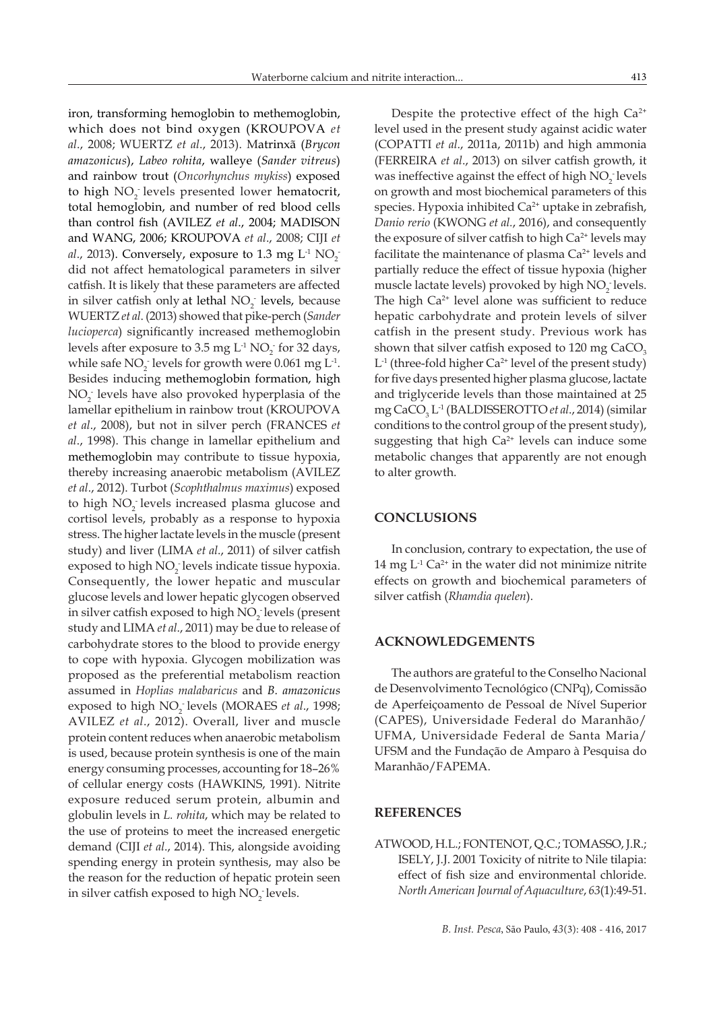iron, transforming hemoglobin to methemoglobin, which does not bind oxygen (KROUPOVA *et al*., 2008; WUERTZ *et al*., 2013). Matrinxã (*Brycon amazonicus*), *Labeo rohita*, walleye (*Sander vitreus*) and rainbow trout (*Oncorhynchus mykiss*) exposed to high  $NO<sub>2</sub>$  levels presented lower hematocrit, total hemoglobin, and number of red blood cells than control fish (AVILEZ *et al*., 2004; MADISON and WANG, 2006; KROUPOVA *et al*., 2008; CIJI *et al.,* 2013). Conversely, exposure to 1.3 mg  $L^1$   $NO_2^$ did not affect hematological parameters in silver catfish. It is likely that these parameters are affected in silver catfish only at lethal  $NO<sub>2</sub>$  levels, because WUERTZ *et al*. (2013) showed that pike-perch (*Sander lucioperca*) significantly increased methemoglobin levels after exposure to 3.5 mg  $L^1$  NO<sub>2</sub> for 32 days, while safe  $NO<sub>2</sub>$  levels for growth were 0.061 mg  $L<sup>-1</sup>$ . Besides inducing methemoglobin formation, high NO<sub>2</sub> levels have also provoked hyperplasia of the lamellar epithelium in rainbow trout (KROUPOVA *et al*., 2008), but not in silver perch (FRANCES *et al*., 1998). This change in lamellar epithelium and methemoglobin may contribute to tissue hypoxia, thereby increasing anaerobic metabolism (AVILEZ *et al*., 2012). Turbot (*Scophthalmus maximus*) exposed to high NO<sub>2</sub> levels increased plasma glucose and cortisol levels, probably as a response to hypoxia stress. The higher lactate levels in the muscle (present study) and liver (LIMA *et al*., 2011) of silver catfish exposed to high NO<sub>2</sub> levels indicate tissue hypoxia. Consequently, the lower hepatic and muscular glucose levels and lower hepatic glycogen observed in silver catfish exposed to high  $NO<sub>2</sub>$  levels (present study and LIMA *et al*., 2011) may be due to release of carbohydrate stores to the blood to provide energy to cope with hypoxia. Glycogen mobilization was proposed as the preferential metabolism reaction assumed in *Hoplias malabaricus* and *B. amazonicus*  exposed to high NO<sub>2</sub> levels (MORAES *et al.,* 1998; AVILEZ *et al*., 2012). Overall, liver and muscle protein content reduces when anaerobic metabolism is used, because protein synthesis is one of the main energy consuming processes, accounting for 18–26% of cellular energy costs (HAWKINS, 1991). Nitrite exposure reduced serum protein, albumin and globulin levels in *L. rohita*, which may be related to the use of proteins to meet the increased energetic demand (CIJI *et al*., 2014). This, alongside avoiding spending energy in protein synthesis, may also be the reason for the reduction of hepatic protein seen in silver catfish exposed to high  $NO_2^-$  levels.

Despite the protective effect of the high Ca<sup>2+</sup> level used in the present study against acidic water (COPATTI *et al*., 2011a, 2011b) and high ammonia (FERREIRA *et al*., 2013) on silver catfish growth, it was ineffective against the effect of high  $NO<sub>2</sub>$  levels on growth and most biochemical parameters of this species. Hypoxia inhibited  $Ca<sup>2+</sup>$  uptake in zebrafish, *Danio rerio* (KWONG *et al.*, 2016), and consequently the exposure of silver catfish to high  $Ca<sup>2+</sup>$  levels may facilitate the maintenance of plasma  $Ca<sup>2+</sup>$  levels and partially reduce the effect of tissue hypoxia (higher muscle lactate levels) provoked by high  $NO<sub>2</sub>$  levels. The high  $Ca^{2+}$  level alone was sufficient to reduce hepatic carbohydrate and protein levels of silver catfish in the present study. Previous work has shown that silver catfish exposed to 120 mg CaCO<sub>3</sub>  $L<sup>-1</sup>$  (three-fold higher Ca<sup>2+</sup> level of the present study) for five days presented higher plasma glucose, lactate and triglyceride levels than those maintained at 25 mg CaCO3 L-1 (BALDISSEROTTO *et al*., 2014) (similar conditions to the control group of the present study), suggesting that high Ca<sup>2+</sup> levels can induce some metabolic changes that apparently are not enough to alter growth.

### **CONCLUSIONS**

In conclusion, contrary to expectation, the use of 14 mg  $L^1$  Ca<sup>2+</sup> in the water did not minimize nitrite effects on growth and biochemical parameters of silver catfish (*Rhamdia quelen*).

#### **ACKNOWLEDGEMENTS**

The authors are grateful to the Conselho Nacional de Desenvolvimento Tecnológico (CNPq), Comissão de Aperfeiçoamento de Pessoal de Nível Superior (CAPES), Universidade Federal do Maranhão/ UFMA, Universidade Federal de Santa Maria/ UFSM and the Fundação de Amparo à Pesquisa do Maranhão/FAPEMA.

### **REFERENCES**

ATWOOD, H.L.; FONTENOT, Q.C.; TOMASSO, J.R.; ISELY, J.J. 2001 Toxicity of nitrite to Nile tilapia: effect of fish size and environmental chloride. *North American Journal of Aquaculture*, *63*(1):49-51.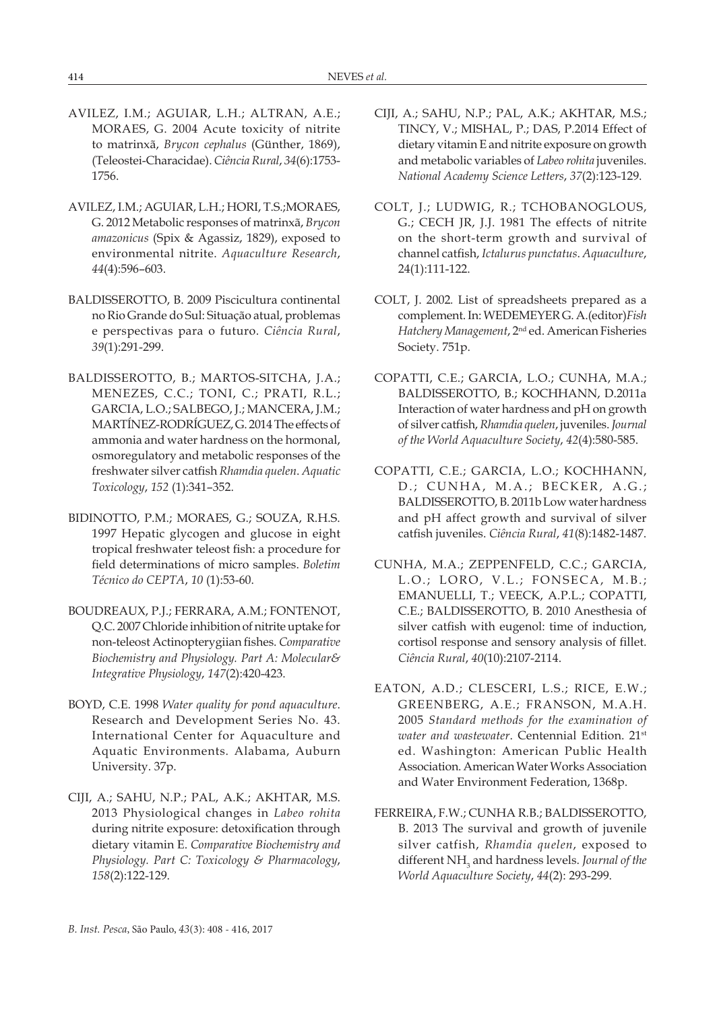- AVILEZ, I.M.; AGUIAR, L.H.; ALTRAN, A.E.; MORAES, G. 2004 Acute toxicity of nitrite to matrinxã, *Brycon cephalus* (Günther, 1869), (Teleostei-Characidae). *Ciência Rural*, *34*(6):1753- 1756.
- AVILEZ, I.M.; AGUIAR, L.H.; HORI, T.S.;MORAES, G. 2012 Metabolic responses of matrinxã, *Brycon amazonicus* (Spix & Agassiz, 1829), exposed to environmental nitrite. *Aquaculture Research*, *44*(4):596–603.
- BALDISSEROTTO, B. 2009 Piscicultura continental no Rio Grande do Sul: Situação atual, problemas e perspectivas para o futuro. *Ciência Rural*, *39*(1):291-299.
- BALDISSEROTTO, B.; MARTOS-SITCHA, J.A.; MENEZES, C.C.; TONI, C.; PRATI, R.L.; GARCIA, L.O.; SALBEGO, J.; MANCERA, J.M.; MARTÍNEZ-RODRÍGUEZ, G. 2014The effects of ammonia and water hardness on the hormonal, osmoregulatory and metabolic responses of the freshwater silver catfish *Rhamdia quelen*. *Aquatic Toxicology*, *152* (1):341–352.
- BIDINOTTO, P.M.; MORAES, G.; SOUZA, R.H.S. 1997 Hepatic glycogen and glucose in eight tropical freshwater teleost fish: a procedure for field determinations of micro samples. *Boletim Técnico do CEPTA*, *10* (1):53-60.
- BOUDREAUX, P.J.; FERRARA, A.M.; FONTENOT, Q.C. 2007 Chloride inhibition of nitrite uptake for non-teleost Actinopterygiian fishes. *Comparative Biochemistry and Physiology. Part A: Molecular& Integrative Physiology*, *147*(2):420-423.
- BOYD, C.E. 1998 *Water quality for pond aquaculture*. Research and Development Series No. 43. International Center for Aquaculture and Aquatic Environments. Alabama, Auburn University. 37p.
- CIJI, A.; SAHU, N.P.; PAL, A.K.; AKHTAR, M.S. 2013 Physiological changes in *Labeo rohita* during nitrite exposure: detoxification through dietary vitamin E. *Comparative Biochemistry and Physiology. Part C: Toxicology & Pharmacology*, *158*(2):122-129.
- CIJI, A.; SAHU, N.P.; PAL, A.K.; AKHTAR, M.S.; TINCY, V.; MISHAL, P.; DAS, P.2014 Effect of dietary vitamin E and nitrite exposure on growth and metabolic variables of *Labeo rohita* juveniles. *National Academy Science Letters*, *37*(2):123-129.
- COLT, J.; LUDWIG, R.; TCHOBANOGLOUS, G.; CECH JR, J.J. 1981 The effects of nitrite on the short-term growth and survival of channel catfish, *Ictalurus punctatus*. *Aquaculture*, 24(1):111-122.
- COLT, J. 2002*.* List of spreadsheets prepared as a complement. In: WEDEMEYER G. A.(editor)*Fish Hatchery Management*, 2nd ed. American Fisheries Society. 751p.
- COPATTI, C.E.; GARCIA, L.O.; CUNHA, M.A.; BALDISSEROTTO, B.; KOCHHANN, D.2011a Interaction of water hardness and pH on growth of silver catfish, *Rhamdia quelen*, juveniles. *Journal of the World Aquaculture Society*, *42*(4):580-585.
- COPATTI, C.E.; GARCIA, L.O.; KOCHHANN, D.; CUNHA, M.A.; BECKER, A.G.; BALDISSEROTTO, B. 2011b Low water hardness and pH affect growth and survival of silver catfish juveniles. *Ciência Rural*, *41*(8):1482-1487.
- CUNHA, M.A.; ZEPPENFELD, C.C.; GARCIA, L.O.; LORO, V.L.; FONSECA, M.B.; EMANUELLI, T.; VEECK, A.P.L.; COPATTI, C.E.; BALDISSEROTTO, B. 2010 Anesthesia of silver catfish with eugenol: time of induction, cortisol response and sensory analysis of fillet. *Ciência Rural*, *40*(10):2107-2114.
- EATON, A.D.; CLESCERI, L.S.; RICE, E.W.; GREENBERG, A.E.; FRANSON, M.A.H. 2005 *Standard methods for the examination of water and wastewater*. Centennial Edition. 21st ed. Washington: American Public Health Association. American Water Works Association and Water Environment Federation, 1368p.
- FERREIRA, F.W.; CUNHA R.B.; BALDISSEROTTO, B. 2013 The survival and growth of juvenile silver catfish, *Rhamdia quelen*, exposed to different NH<sub>3</sub> and hardness levels. *Journal of the World Aquaculture Society*, *44*(2): 293-299.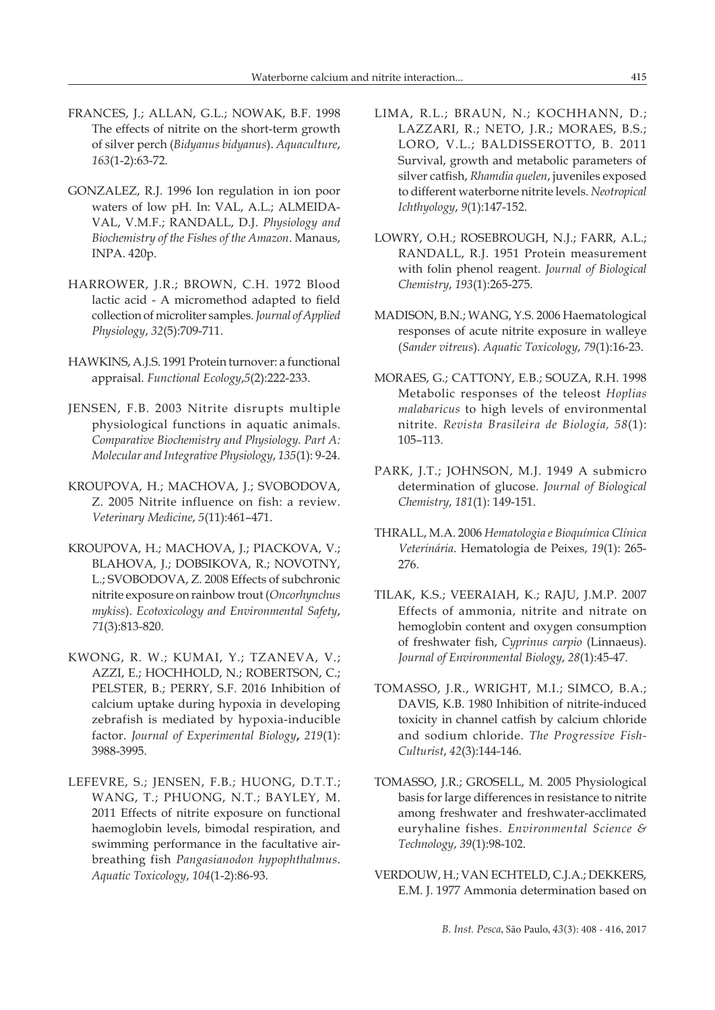- FRANCES, J.; ALLAN, G.L.; NOWAK, B.F. 1998 The effects of nitrite on the short-term growth of silver perch (*Bidyanus bidyanus*). *Aquaculture*, *163*(1-2):63-72.
- GONZALEZ, R.J. 1996 Ion regulation in ion poor waters of low pH. In: VAL, A.L.; ALMEIDA-VAL, V.M.F.; RANDALL, D.J. *Physiology and Biochemistry of the Fishes of the Amazon*. Manaus, INPA. 420p.
- HARROWER, J.R.; BROWN, C.H. 1972 Blood lactic acid - A micromethod adapted to field collection of microliter samples. *Journal of Applied Physiology*, *32*(5):709-711.
- HAWKINS, A.J.S. 1991 Protein turnover: a functional appraisal. *Functional Ecology*,*5*(2):222-233.
- JENSEN, F.B. 2003 Nitrite disrupts multiple physiological functions in aquatic animals. *Comparative Biochemistry and Physiology. Part A: Molecular and Integrative Physiology*, *135*(1): 9-24.
- KROUPOVA, H.; MACHOVA, J.; SVOBODOVA, Z. 2005 Nitrite influence on fish: a review. *Veterinary Medicine*, *5*(11):461–471.
- KROUPOVA, H.; MACHOVA, J.; PIACKOVA, V.; BLAHOVA, J.; DOBSIKOVA, R.; NOVOTNY, L.; SVOBODOVA, Z. 2008 Effects of subchronic nitrite exposure on rainbow trout (*Oncorhynchus mykiss*). *Ecotoxicology and Environmental Safety*, *71*(3):813-820.
- KWONG, R. W.; KUMAI, Y.; TZANEVA, V.; AZZI, E.; HOCHHOLD, N.; ROBERTSON, C.; PELSTER, B.; PERRY, S.F. 2016 Inhibition of calcium uptake during hypoxia in developing zebrafish is mediated by hypoxia-inducible factor. *Journal of Experimental Biology***,** *219*(1): 3988-3995.
- LEFEVRE, S.; JENSEN, F.B.; HUONG, D.T.T.; WANG, T.; PHUONG, N.T.; BAYLEY, M. 2011 Effects of nitrite exposure on functional haemoglobin levels, bimodal respiration, and swimming performance in the facultative airbreathing fish *Pangasianodon hypophthalmus*. *Aquatic Toxicology*, *104*(1-2):86-93.
- LIMA, R.L.; BRAUN, N.; KOCHHANN, D.; LAZZARI, R.; NETO, J.R.; MORAES, B.S.; LORO, V.L.; BALDISSEROTTO, B. 2011 Survival, growth and metabolic parameters of silver catfish, *Rhamdia quelen*, juveniles exposed to different waterborne nitrite levels. *Neotropical Ichthyology*, *9*(1):147-152.
- LOWRY, O.H.; ROSEBROUGH, N.J.; FARR, A.L.; RANDALL, R.J. 1951 Protein measurement with folin phenol reagent. *Journal of Biological Chemistry*, *193*(1):265-275.
- MADISON, B.N.; WANG, Y.S. 2006 Haematological responses of acute nitrite exposure in walleye (*Sander vitreus*). *Aquatic Toxicology*, *79*(1):16-23.
- MORAES, G.; CATTONY, E.B.; SOUZA, R.H. 1998 Metabolic responses of the teleost *Hoplias malabaricus* to high levels of environmental nitrite. *Revista Brasileira de Biologia, 58*(1): 105–113.
- PARK, J.T.; JOHNSON, M.J. 1949 A submicro determination of glucose. *Journal of Biological Chemistry*, *181*(1): 149-151.
- THRALL, M.A. 2006 *Hematologia e Bioquímica Clínica Veterinária*. Hematologia de Peixes, *19*(1): 265- 276.
- TILAK, K.S.; VEERAIAH, K.; RAJU, J.M.P. 2007 Effects of ammonia, nitrite and nitrate on hemoglobin content and oxygen consumption of freshwater fish, *Cyprinus carpio* (Linnaeus). *Journal of Environmental Biology*, *28*(1):45-47.
- TOMASSO, J.R., WRIGHT, M.I.; SIMCO, B.A.; DAVIS, K.B. 1980 Inhibition of nitrite-induced toxicity in channel catfish by calcium chloride and sodium chloride. *The Progressive Fish-Culturist*, *42*(3):144-146.
- TOMASSO, J.R.; GROSELL, M. 2005 Physiological basis for large differences in resistance to nitrite among freshwater and freshwater-acclimated euryhaline fishes. *Environmental Science & Technology*, *39*(1):98-102.
- VERDOUW, H.; VAN ECHTELD, C.J.A.; DEKKERS, E.M. J. 1977 Ammonia determination based on